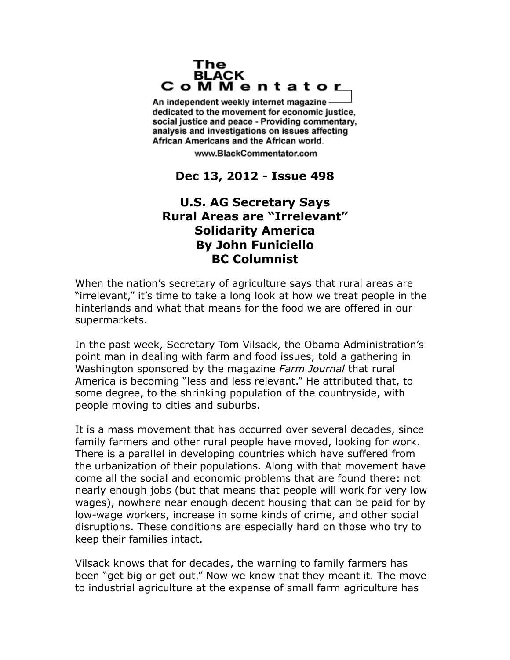## The **BLACK** CoMMentator

An independent weekly internet magazine dedicated to the movement for economic justice. social justice and peace - Providing commentary, analysis and investigations on issues affecting African Americans and the African world.

www.BlackCommentator.com

## **Dec 13, 2012 - Issue 498**

## **U.S. AG Secretary Says Rural Areas are "Irrelevant" Solidarity America By John Funiciello BC Columnist**

When the nation's secretary of agriculture says that rural areas are "irrelevant," it's time to take a long look at how we treat people in the hinterlands and what that means for the food we are offered in our supermarkets.

In the past week, Secretary Tom Vilsack, the Obama Administration's point man in dealing with farm and food issues, told a gathering in Washington sponsored by the magazine *Farm Journal* that rural America is becoming "less and less relevant." He attributed that, to some degree, to the shrinking population of the countryside, with people moving to cities and suburbs.

It is a mass movement that has occurred over several decades, since family farmers and other rural people have moved, looking for work. There is a parallel in developing countries which have suffered from the urbanization of their populations. Along with that movement have come all the social and economic problems that are found there: not nearly enough jobs (but that means that people will work for very low wages), nowhere near enough decent housing that can be paid for by low-wage workers, increase in some kinds of crime, and other social disruptions. These conditions are especially hard on those who try to keep their families intact.

Vilsack knows that for decades, the warning to family farmers has been "get big or get out." Now we know that they meant it. The move to industrial agriculture at the expense of small farm agriculture has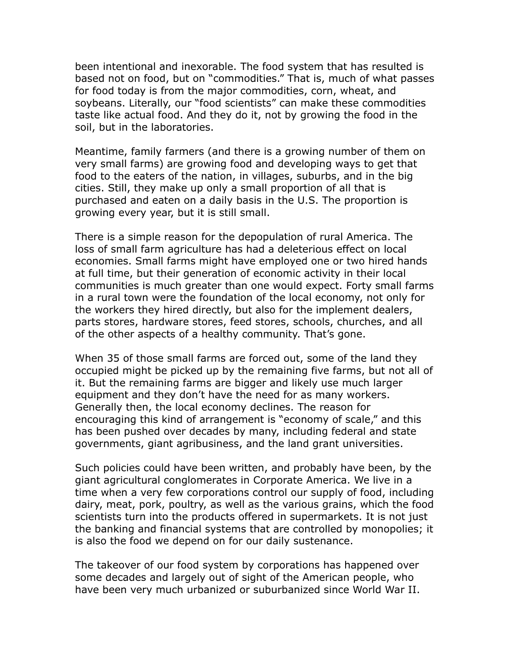been intentional and inexorable. The food system that has resulted is based not on food, but on "commodities." That is, much of what passes for food today is from the major commodities, corn, wheat, and soybeans. Literally, our "food scientists" can make these commodities taste like actual food. And they do it, not by growing the food in the soil, but in the laboratories.

Meantime, family farmers (and there is a growing number of them on very small farms) are growing food and developing ways to get that food to the eaters of the nation, in villages, suburbs, and in the big cities. Still, they make up only a small proportion of all that is purchased and eaten on a daily basis in the U.S. The proportion is growing every year, but it is still small.

There is a simple reason for the depopulation of rural America. The loss of small farm agriculture has had a deleterious effect on local economies. Small farms might have employed one or two hired hands at full time, but their generation of economic activity in their local communities is much greater than one would expect. Forty small farms in a rural town were the foundation of the local economy, not only for the workers they hired directly, but also for the implement dealers, parts stores, hardware stores, feed stores, schools, churches, and all of the other aspects of a healthy community. That's gone.

When 35 of those small farms are forced out, some of the land they occupied might be picked up by the remaining five farms, but not all of it. But the remaining farms are bigger and likely use much larger equipment and they don't have the need for as many workers. Generally then, the local economy declines. The reason for encouraging this kind of arrangement is "economy of scale," and this has been pushed over decades by many, including federal and state governments, giant agribusiness, and the land grant universities.

Such policies could have been written, and probably have been, by the giant agricultural conglomerates in Corporate America. We live in a time when a very few corporations control our supply of food, including dairy, meat, pork, poultry, as well as the various grains, which the food scientists turn into the products offered in supermarkets. It is not just the banking and financial systems that are controlled by monopolies; it is also the food we depend on for our daily sustenance.

The takeover of our food system by corporations has happened over some decades and largely out of sight of the American people, who have been very much urbanized or suburbanized since World War II.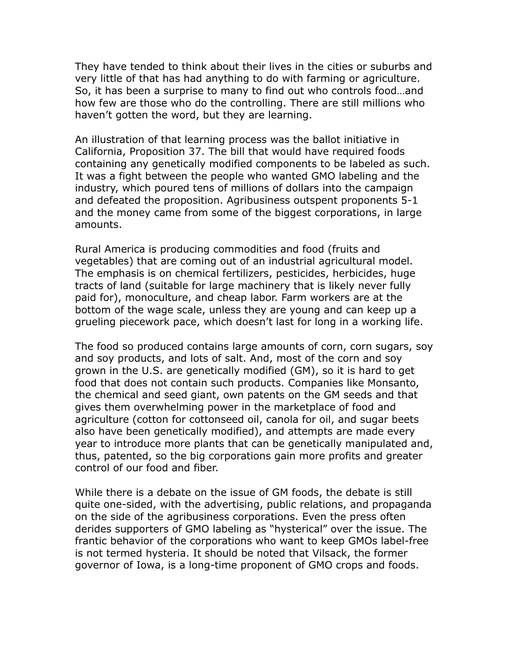They have tended to think about their lives in the cities or suburbs and very little of that has had anything to do with farming or agriculture. So, it has been a surprise to many to find out who controls food…and how few are those who do the controlling. There are still millions who haven't gotten the word, but they are learning.

An illustration of that learning process was the ballot initiative in California, Proposition 37. The bill that would have required foods containing any genetically modified components to be labeled as such. It was a fight between the people who wanted GMO labeling and the industry, which poured tens of millions of dollars into the campaign and defeated the proposition. Agribusiness outspent proponents 5-1 and the money came from some of the biggest corporations, in large amounts.

Rural America is producing commodities and food (fruits and vegetables) that are coming out of an industrial agricultural model. The emphasis is on chemical fertilizers, pesticides, herbicides, huge tracts of land (suitable for large machinery that is likely never fully paid for), monoculture, and cheap labor. Farm workers are at the bottom of the wage scale, unless they are young and can keep up a grueling piecework pace, which doesn't last for long in a working life.

The food so produced contains large amounts of corn, corn sugars, soy and soy products, and lots of salt. And, most of the corn and soy grown in the U.S. are genetically modified (GM), so it is hard to get food that does not contain such products. Companies like Monsanto, the chemical and seed giant, own patents on the GM seeds and that gives them overwhelming power in the marketplace of food and agriculture (cotton for cottonseed oil, canola for oil, and sugar beets also have been genetically modified), and attempts are made every year to introduce more plants that can be genetically manipulated and, thus, patented, so the big corporations gain more profits and greater control of our food and fiber.

While there is a debate on the issue of GM foods, the debate is still quite one-sided, with the advertising, public relations, and propaganda on the side of the agribusiness corporations. Even the press often derides supporters of GMO labeling as "hysterical" over the issue. The frantic behavior of the corporations who want to keep GMOs label-free is not termed hysteria. It should be noted that Vilsack, the former governor of Iowa, is a long-time proponent of GMO crops and foods.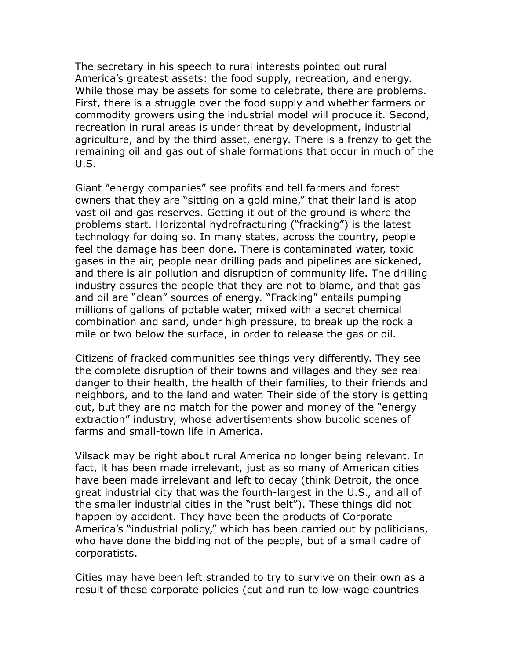The secretary in his speech to rural interests pointed out rural America's greatest assets: the food supply, recreation, and energy. While those may be assets for some to celebrate, there are problems. First, there is a struggle over the food supply and whether farmers or commodity growers using the industrial model will produce it. Second, recreation in rural areas is under threat by development, industrial agriculture, and by the third asset, energy. There is a frenzy to get the remaining oil and gas out of shale formations that occur in much of the U.S.

Giant "energy companies" see profits and tell farmers and forest owners that they are "sitting on a gold mine," that their land is atop vast oil and gas reserves. Getting it out of the ground is where the problems start. Horizontal hydrofracturing ("fracking") is the latest technology for doing so. In many states, across the country, people feel the damage has been done. There is contaminated water, toxic gases in the air, people near drilling pads and pipelines are sickened, and there is air pollution and disruption of community life. The drilling industry assures the people that they are not to blame, and that gas and oil are "clean" sources of energy. "Fracking" entails pumping millions of gallons of potable water, mixed with a secret chemical combination and sand, under high pressure, to break up the rock a mile or two below the surface, in order to release the gas or oil.

Citizens of fracked communities see things very differently. They see the complete disruption of their towns and villages and they see real danger to their health, the health of their families, to their friends and neighbors, and to the land and water. Their side of the story is getting out, but they are no match for the power and money of the "energy extraction" industry, whose advertisements show bucolic scenes of farms and small-town life in America.

Vilsack may be right about rural America no longer being relevant. In fact, it has been made irrelevant, just as so many of American cities have been made irrelevant and left to decay (think Detroit, the once great industrial city that was the fourth-largest in the U.S., and all of the smaller industrial cities in the "rust belt"). These things did not happen by accident. They have been the products of Corporate America's "industrial policy," which has been carried out by politicians, who have done the bidding not of the people, but of a small cadre of corporatists.

Cities may have been left stranded to try to survive on their own as a result of these corporate policies (cut and run to low-wage countries